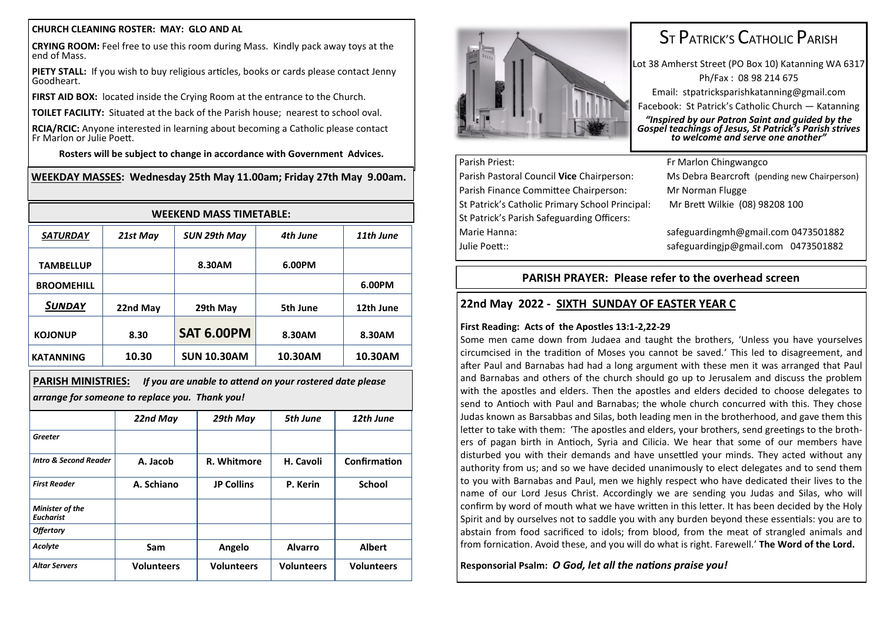#### **CHURCH CLEANING ROSTER: MAY: GLO AND AL**

**CRYING ROOM:** Feel free to use this room during Mass. Kindly pack away toys at the end of Mass.

**PIETY STALL:** If you wish to buy religious articles, books or cards please contact Jenny Goodheart.

**FIRST AID BOX:** located inside the Crying Room at the entrance to the Church.

**TOILET FACILITY:** Situated at the back of the Parish house; nearest to school oval.

**RCIA/RCIC:** Anyone interested in learning about becoming a Catholic please contact Fr Marlon or Julie Poett.

**Rosters will be subject to change in accordance with Government Advices.**

### **WEEKDAY MASSES: Wednesday 25th May 11.00am; Friday 27th May 9.00am.**

| <b>WEEKEND MASS TIMETABLE:</b> |          |                    |          |           |  |
|--------------------------------|----------|--------------------|----------|-----------|--|
| <b>SATURDAY</b>                | 21st May | SUN 29th May       | 4th June | 11th June |  |
| <b>TAMBELLUP</b>               |          | 8.30AM             | 6.00PM   |           |  |
| <b>BROOMEHILL</b>              |          |                    |          | 6.00PM    |  |
| SUNDAY                         | 22nd May | 29th May           | 5th June | 12th June |  |
| <b>KOJONUP</b>                 | 8.30     | <b>SAT 6.00PM</b>  | 8.30AM   | 8.30AM    |  |
| <b>KATANNING</b>               | 10.30    | <b>SUN 10.30AM</b> | 10.30AM  | 10.30AM   |  |

| PARISH MINISTRIES:                             | If you are unable to attend on your rostered date please |  |  |  |
|------------------------------------------------|----------------------------------------------------------|--|--|--|
| arrange for someone to replace you. Thank you! |                                                          |  |  |  |

|                                     | 22nd May          | 29th May          | 5th June          | 12th June         |
|-------------------------------------|-------------------|-------------------|-------------------|-------------------|
| Greeter                             |                   |                   |                   |                   |
| <b>Intro &amp; Second Reader</b>    | A. Jacob          | R. Whitmore       | H. Cavoli         | Confirmation      |
| <b>First Reader</b>                 | A. Schiano        | <b>JP Collins</b> | P. Kerin          | <b>School</b>     |
| Minister of the<br><b>Eucharist</b> |                   |                   |                   |                   |
| <b>Offertory</b>                    |                   |                   |                   |                   |
| Acolyte                             | Sam               | Angelo            | <b>Alvarro</b>    | <b>Albert</b>     |
| <b>Altar Servers</b>                | <b>Volunteers</b> | <b>Volunteers</b> | <b>Volunteers</b> | <b>Volunteers</b> |



# ST PATRICK'S CATHOLIC PARISH

Lot 38 Amherst Street (PO Box 10) Katanning WA 6317 Ph/Fax : 08 98 214 675 Email: stpatricksparishkatanning@gmail.com Facebook: St Patrick's Catholic Church — Katanning *"Inspired by our Patron Saint and guided by the Gospel teachings of Jesus, St Patrick's Parish strives to welcome and serve one another"*

# Parish Priest: Fr Marlon Chingwangco Parish Pastoral Council **Vice** Chairperson: Ms Debra Bearcroft (pending new Chairperson) Parish Finance Committee Chairperson: Mr Norman Flugge St Patrick's Catholic Primary School Principal: Mr Brett Wilkie (08) 98208 100 St Patrick's Parish Safeguarding Officers: Marie Hanna: safeguardingmh@gmail.com 0473501882 Julie Poett:: safeguardingjp@gmail.com 0473501882

# **PARISH PRAYER: Please refer to the overhead screen**

# **22nd May 2022 - SIXTH SUNDAY OF EASTER YEAR C**

## **First Reading: Acts of the Apostles 13:1-2,22-29**

Some men came down from Judaea and taught the brothers, 'Unless you have yourselves circumcised in the tradition of Moses you cannot be saved.' This led to disagreement, and after Paul and Barnabas had had a long argument with these men it was arranged that Paul and Barnabas and others of the church should go up to Jerusalem and discuss the problem with the apostles and elders. Then the apostles and elders decided to choose delegates to send to Antioch with Paul and Barnabas; the whole church concurred with this. They chose Judas known as Barsabbas and Silas, both leading men in the brotherhood, and gave them this letter to take with them: 'The apostles and elders, your brothers, send greetings to the brothers of pagan birth in Antioch, Syria and Cilicia. We hear that some of our members have disturbed you with their demands and have unsettled your minds. They acted without any authority from us; and so we have decided unanimously to elect delegates and to send them to you with Barnabas and Paul, men we highly respect who have dedicated their lives to the name of our Lord Jesus Christ. Accordingly we are sending you Judas and Silas, who will confirm by word of mouth what we have written in this letter. It has been decided by the Holy Spirit and by ourselves not to saddle you with any burden beyond these essentials: you are to abstain from food sacrificed to idols; from blood, from the meat of strangled animals and from fornication. Avoid these, and you will do what is right. Farewell.' **The Word of the Lord.**

**Responsorial Psalm:** *O God, let all the nations praise you!*